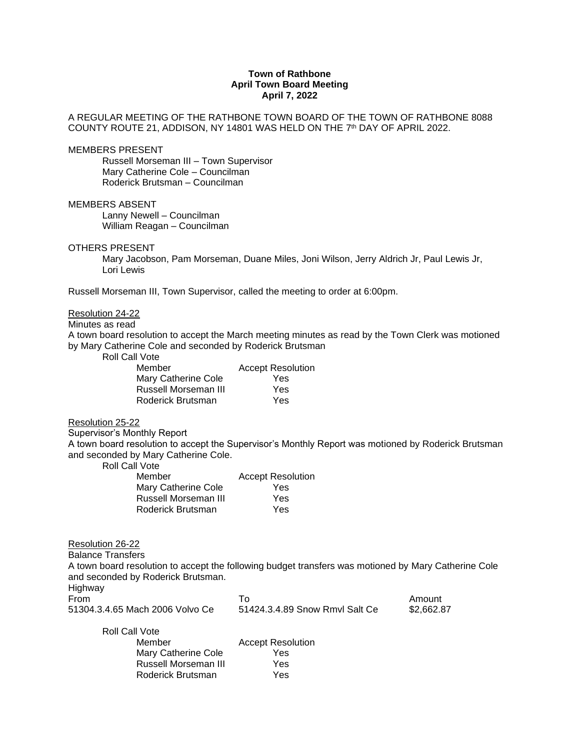## **Town of Rathbone April Town Board Meeting April 7, 2022**

## A REGULAR MEETING OF THE RATHBONE TOWN BOARD OF THE TOWN OF RATHBONE 8088 COUNTY ROUTE 21, ADDISON, NY 14801 WAS HELD ON THE 7 th DAY OF APRIL 2022.

#### MEMBERS PRESENT

Russell Morseman III – Town Supervisor Mary Catherine Cole – Councilman Roderick Brutsman – Councilman

## MEMBERS ABSENT

Lanny Newell – Councilman William Reagan – Councilman

#### OTHERS PRESENT

Mary Jacobson, Pam Morseman, Duane Miles, Joni Wilson, Jerry Aldrich Jr, Paul Lewis Jr, Lori Lewis

Russell Morseman III, Town Supervisor, called the meeting to order at 6:00pm.

# Resolution 24-22

## Minutes as read

A town board resolution to accept the March meeting minutes as read by the Town Clerk was motioned by Mary Catherine Cole and seconded by Roderick Brutsman

Roll Call Vote

| <b>Accept Resolution</b> |
|--------------------------|
| Yes                      |
| Yes                      |
| Yes                      |
|                          |

## Resolution 25-22

Supervisor's Monthly Report

A town board resolution to accept the Supervisor's Monthly Report was motioned by Roderick Brutsman and seconded by Mary Catherine Cole.

Roll Call Vote

| Member               | <b>Accept Resolution</b> |
|----------------------|--------------------------|
| Mary Catherine Cole  | Yes                      |
| Russell Morseman III | Yes                      |
| Roderick Brutsman    | Yes                      |

Resolution 26-22

Balance Transfers

A town board resolution to accept the following budget transfers was motioned by Mary Catherine Cole and seconded by Roderick Brutsman.

Highway

| From                            |                                | Amount   |
|---------------------------------|--------------------------------|----------|
| 51304.3.4.65 Mach 2006 Volvo Ce | 51424.3.4.89 Snow Rmvl Salt Ce | \$2,662. |

1.89 Snow Rmvl Salt Ce \$2,662.87

| <b>Roll Call Vote</b> |                          |
|-----------------------|--------------------------|
| Member                | <b>Accept Resolution</b> |
| Mary Catherine Cole   | Yes                      |
| Russell Morseman III  | Yes                      |
| Roderick Brutsman     | Yes                      |